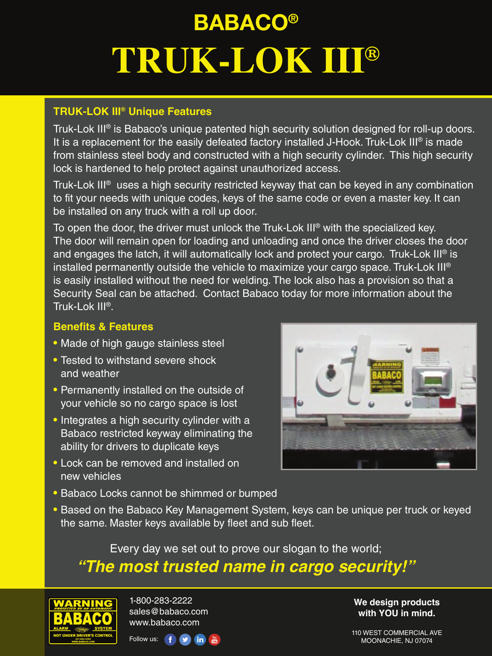# **BABACO® TRUK-LOK III®**

## **TRUK-LOK III® Unique Features**

Truk-Lok III® is Babaco's unique patented high security solution designed for roll-up doors. It is a replacement for the easily defeated factory installed J-Hook. Truk-Lok III® is made from stainless steel body and constructed with a high security cylinder. This high security lock is hardened to help protect against unauthorized access.

Truk-Lok III® uses a high security restricted keyway that can be keyed in any combination to fit your needs with unique codes, keys of the same code or even a master key. It can be installed on any truck with a roll up door.

To open the door, the driver must unlock the Truk-Lok III® with the specialized key. The door will remain open for loading and unloading and once the driver closes the door and engages the latch, it will automatically lock and protect your cargo. Truk-Lok III<sup>®</sup> is installed permanently outside the vehicle to maximize your cargo space. Truk-Lok III® is easily installed without the need for welding. The lock also has a provision so that a Security Seal can be attached. Contact Babaco today for more information about the Truk-Lok III®.

#### **Benefits & Features**

- Made of high gauge stainless steel
- Tested to withstand severe shock and weather
- Permanently installed on the outside of your vehicle so no cargo space is lost
- Integrates a high security cylinder with a Babaco restricted keyway eliminating the ability for drivers to duplicate keys
- Lock can be removed and installed on new vehicles



• Based on the Babaco Key Management System, keys can be unique per truck or keyed the same. Master keys available by fleet and sub fleet.

Every day we set out to prove our slogan to the world;

# *"The most trusted name in cargo security!"*



1-800-283-2222 sales@babaco.com www.babaco.com



**We design products with YOU in mind.**

110 WEST COMMERCIAL AVE MOONACHIE, NJ 07074